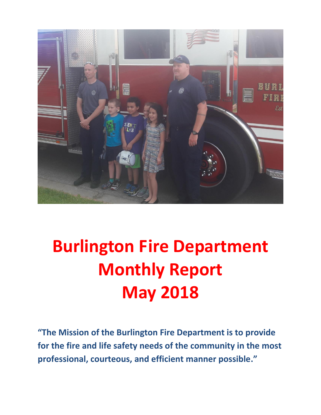

# **Burlington Fire Department Monthly Report May 2018**

**"The Mission of the Burlington Fire Department is to provide for the fire and life safety needs of the community in the most professional, courteous, and efficient manner possible."**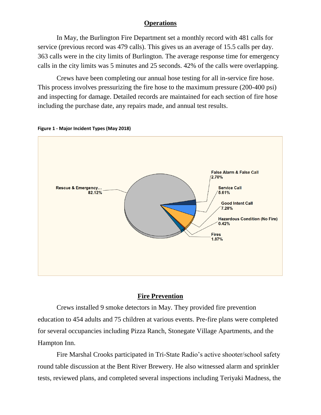### **Operations**

In May, the Burlington Fire Department set a monthly record with 481 calls for service (previous record was 479 calls). This gives us an average of 15.5 calls per day. 363 calls were in the city limits of Burlington. The average response time for emergency calls in the city limits was 5 minutes and 25 seconds. 42% of the calls were overlapping.

Crews have been completing our annual hose testing for all in-service fire hose. This process involves pressurizing the fire hose to the maximum pressure (200-400 psi) and inspecting for damage. Detailed records are maintained for each section of fire hose including the purchase date, any repairs made, and annual test results.



**Figure 1 - Major Incident Types (May 2018)**

### **Fire Prevention**

Crews installed 9 smoke detectors in May. They provided fire prevention education to 454 adults and 75 children at various events. Pre-fire plans were completed for several occupancies including Pizza Ranch, Stonegate Village Apartments, and the Hampton Inn.

Fire Marshal Crooks participated in Tri-State Radio's active shooter/school safety round table discussion at the Bent River Brewery. He also witnessed alarm and sprinkler tests, reviewed plans, and completed several inspections including Teriyaki Madness, the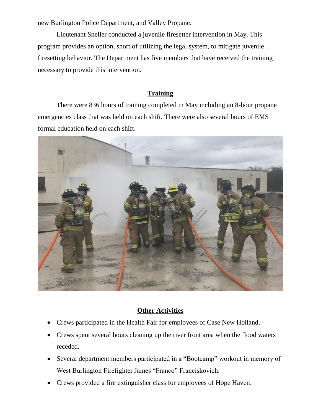new Burlington Police Department, and Valley Propane.

Lieutenant Sneller conducted a juvenile firesetter intervention in May. This program provides an option, short of utilizing the legal system, to mitigate juvenile firesetting behavior. The Department has five members that have received the training necessary to provide this intervention.

### **Training**

There were 836 hours of training completed in May including an 8-hour propane emergencies class that was held on each shift. There were also several hours of EMS formal education held on each shift.



### **Other Activities**

- Crews participated in the Health Fair for employees of Case New Holland.
- Crews spent several hours cleaning up the river front area when the flood waters receded.
- Several department members participated in a "Bootcamp" workout in memory of West Burlington Firefighter James "Franco" Franciskovich.
- Crews provided a fire extinguisher class for employees of Hope Haven.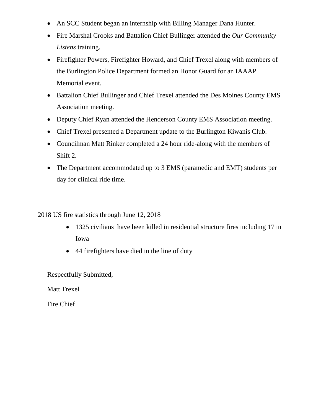- An SCC Student began an internship with Billing Manager Dana Hunter.
- Fire Marshal Crooks and Battalion Chief Bullinger attended the *Our Community Listens* training.
- Firefighter Powers, Firefighter Howard, and Chief Trexel along with members of the Burlington Police Department formed an Honor Guard for an IAAAP Memorial event.
- Battalion Chief Bullinger and Chief Trexel attended the Des Moines County EMS Association meeting.
- Deputy Chief Ryan attended the Henderson County EMS Association meeting.
- Chief Trexel presented a Department update to the Burlington Kiwanis Club.
- Councilman Matt Rinker completed a 24 hour ride-along with the members of Shift 2.
- The Department accommodated up to 3 EMS (paramedic and EMT) students per day for clinical ride time.

2018 US fire statistics through June 12, 2018

- 1325 civilians have been killed in residential structure fires including 17 in Iowa
- 44 firefighters have died in the line of duty

Respectfully Submitted,

Matt Trexel

Fire Chief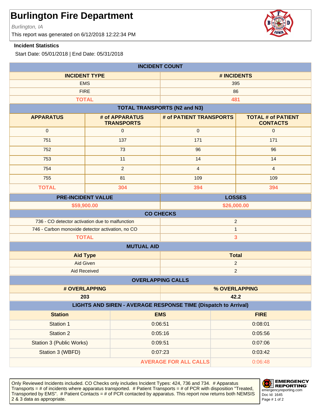Burlington, IA

This report was generated on 6/12/2018 12:22:34 PM

#### **Incident Statistics**

Start Date: 05/01/2018 | End Date: 05/31/2018

| <b>INCIDENT COUNT</b>                                                 |                                     |                                     |                                              |  |
|-----------------------------------------------------------------------|-------------------------------------|-------------------------------------|----------------------------------------------|--|
| <b>INCIDENT TYPE</b>                                                  |                                     | # INCIDENTS                         |                                              |  |
| <b>EMS</b>                                                            |                                     | 395                                 |                                              |  |
| <b>FIRE</b>                                                           |                                     | 86                                  |                                              |  |
| <b>TOTAL</b>                                                          |                                     |                                     | 481                                          |  |
|                                                                       |                                     | <b>TOTAL TRANSPORTS (N2 and N3)</b> |                                              |  |
| <b>APPARATUS</b>                                                      | # of APPARATUS<br><b>TRANSPORTS</b> | # of PATIENT TRANSPORTS             | <b>TOTAL # of PATIENT</b><br><b>CONTACTS</b> |  |
| $\mathbf 0$                                                           | $\mathbf{0}$                        | $\pmb{0}$                           | $\mathbf 0$                                  |  |
| 751                                                                   | 137                                 | 171                                 | 171                                          |  |
| 752                                                                   | 73                                  | 96                                  | 96                                           |  |
| 753                                                                   | 11                                  | 14                                  | 14                                           |  |
| 754                                                                   | $\overline{2}$                      | $\overline{4}$                      | $\overline{4}$                               |  |
| 755                                                                   | 81                                  | 109                                 | 109                                          |  |
| <b>TOTAL</b>                                                          | 304                                 | 394                                 | 394                                          |  |
| <b>PRE-INCIDENT VALUE</b>                                             |                                     | <b>LOSSES</b>                       |                                              |  |
| \$59,900.00<br>\$26,000.00                                            |                                     |                                     |                                              |  |
|                                                                       |                                     | <b>CO CHECKS</b>                    |                                              |  |
| $\overline{2}$<br>736 - CO detector activation due to malfunction     |                                     |                                     |                                              |  |
| 746 - Carbon monoxide detector activation, no CO<br><b>TOTAL</b>      |                                     | $\mathbf{1}$<br>3                   |                                              |  |
|                                                                       | <b>MUTUAL AID</b>                   |                                     |                                              |  |
| <b>Total</b><br><b>Aid Type</b>                                       |                                     |                                     |                                              |  |
| <b>Aid Given</b>                                                      |                                     | $\overline{2}$                      |                                              |  |
| <b>Aid Received</b>                                                   |                                     | $\overline{2}$                      |                                              |  |
| <b>OVERLAPPING CALLS</b>                                              |                                     |                                     |                                              |  |
| # OVERLAPPING                                                         |                                     | % OVERLAPPING                       |                                              |  |
|                                                                       | 203                                 |                                     | 42.2                                         |  |
| <b>LIGHTS AND SIREN - AVERAGE RESPONSE TIME (Dispatch to Arrival)</b> |                                     |                                     |                                              |  |
| <b>Station</b>                                                        |                                     | <b>EMS</b>                          | <b>FIRE</b>                                  |  |
| Station 1                                                             | 0:06:51                             |                                     | 0:08:01                                      |  |
| Station 2                                                             |                                     | 0:05:16                             | 0:05:56                                      |  |
| <b>Station 3 (Public Works)</b>                                       |                                     | 0:09:51                             |                                              |  |
| Station 3 (WBFD)<br>0:07:23                                           |                                     | 0:03:42                             |                                              |  |
| <b>AVERAGE FOR ALL CALLS</b><br>0:06:48                               |                                     |                                     |                                              |  |

Only Reviewed Incidents included. CO Checks only includes Incident Types: 424, 736 and 734. # Apparatus Transports = # of incidents where apparatus transported. # Patient Transports = # of PCR with disposition "Treated, Transported by EMS". # Patient Contacts = # of PCR contacted by apparatus. This report now returns both NEMSIS 2 & 3 data as appropriate. The set of 2 set of 2 set of 2 set of 2 set of 2 set of 2 set of 2 set of 2 set of 2



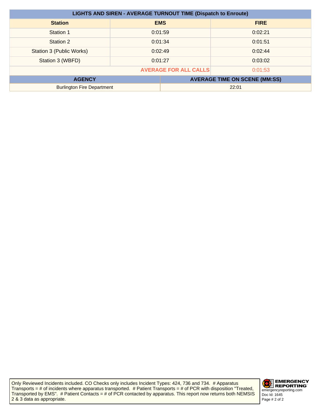| <b>LIGHTS AND SIREN - AVERAGE TURNOUT TIME (Dispatch to Enroute)</b> |         |            |                                      |
|----------------------------------------------------------------------|---------|------------|--------------------------------------|
| <b>Station</b>                                                       |         | <b>EMS</b> | <b>FIRE</b>                          |
| Station 1                                                            | 0:01:59 |            | 0:02:21                              |
| Station 2                                                            |         | 0:01:34    | 0:01:51                              |
| Station 3 (Public Works)                                             | 0:02:49 |            | 0:02:44                              |
| Station 3 (WBFD)                                                     | 0:01:27 |            | 0:03:02                              |
| <b>AVERAGE FOR ALL CALLS</b><br>0:01:53                              |         |            |                                      |
| <b>AGENCY</b>                                                        |         |            | <b>AVERAGE TIME ON SCENE (MM:SS)</b> |
| <b>Burlington Fire Department</b>                                    |         | 22:01      |                                      |

Only Reviewed Incidents included. CO Checks only includes Incident Types: 424, 736 and 734. # Apparatus Transports = # of incidents where apparatus transported. # Patient Transports = # of PCR with disposition "Treated, Transported by EMS". # Patient Contacts = # of PCR contacted by apparatus. This report now returns both NEMSIS 2 & 3 data as appropriate.

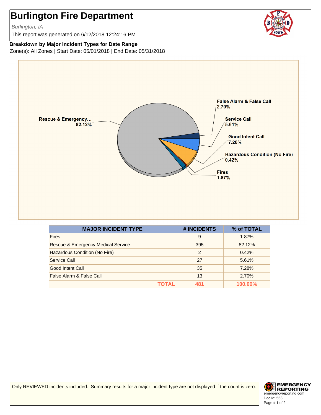Burlington, IA

This report was generated on 6/12/2018 12:24:16 PM

**Breakdown by Major Incident Types for Date Range** Zone(s): All Zones | Start Date: 05/01/2018 | End Date: 05/31/2018



| <b>MAJOR INCIDENT TYPE</b>         | # INCIDENTS   | % of TOTAL     |
|------------------------------------|---------------|----------------|
| <b>Fires</b>                       | 9             | 1.87%          |
| Rescue & Emergency Medical Service | 395           | 82.12%         |
| Hazardous Condition (No Fire)      | $\mathcal{P}$ | 0.42%          |
| Service Call                       | 27            | 5.61%          |
| Good Intent Call                   | 35            | 7.28%          |
| False Alarm & False Call           | 13            | 2.70%          |
| ΤΟΤΑL                              | 481           | <b>100.00%</b> |

Only REVIEWED incidents included. Summary results for a major incident type are not displayed if the count is zero.

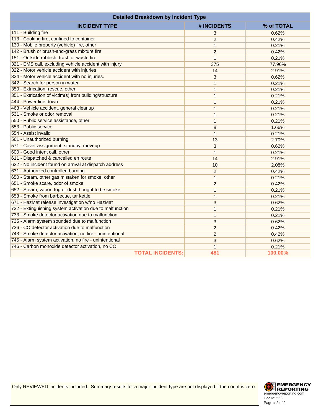| <b>Detailed Breakdown by Incident Type</b>               |                |            |
|----------------------------------------------------------|----------------|------------|
| <b>INCIDENT TYPE</b>                                     | # INCIDENTS    | % of TOTAL |
| 111 - Building fire                                      | 3              | 0.62%      |
| 113 - Cooking fire, confined to container                | $\overline{2}$ | 0.42%      |
| 130 - Mobile property (vehicle) fire, other              | $\mathbf{1}$   | 0.21%      |
| 142 - Brush or brush-and-grass mixture fire              | $\overline{c}$ | 0.42%      |
| 151 - Outside rubbish, trash or waste fire               | $\mathbf{1}$   | 0.21%      |
| 321 - EMS call, excluding vehicle accident with injury   | 375            | 77.96%     |
| 322 - Motor vehicle accident with injuries               | 14             | 2.91%      |
| 324 - Motor vehicle accident with no injuries.           | 3              | 0.62%      |
| 342 - Search for person in water                         | 1              | 0.21%      |
| 350 - Extrication, rescue, other                         | 1              | 0.21%      |
| 351 - Extrication of victim(s) from building/structure   | 1              | 0.21%      |
| 444 - Power line down                                    | 1              | 0.21%      |
| 463 - Vehicle accident, general cleanup                  | $\mathbf{1}$   | 0.21%      |
| 531 - Smoke or odor removal                              | $\mathbf{1}$   | 0.21%      |
| 550 - Public service assistance, other                   | $\mathbf{1}$   | 0.21%      |
| 553 - Public service                                     | 8              | 1.66%      |
| 554 - Assist invalid                                     | $\mathbf{1}$   | 0.21%      |
| 561 - Unauthorized burning                               | 13             | 2.70%      |
| 571 - Cover assignment, standby, moveup                  | 3              | 0.62%      |
| 600 - Good intent call, other                            | $\mathbf{1}$   | 0.21%      |
| 611 - Dispatched & cancelled en route                    | 14             | 2.91%      |
| 622 - No incident found on arrival at dispatch address   | 10             | 2.08%      |
| 631 - Authorized controlled burning                      | $\overline{2}$ | 0.42%      |
| 650 - Steam, other gas mistaken for smoke, other         | $\mathbf{1}$   | 0.21%      |
| 651 - Smoke scare, odor of smoke                         | $\overline{2}$ | 0.42%      |
| 652 - Steam, vapor, fog or dust thought to be smoke      | $\mathbf{1}$   | 0.21%      |
| 653 - Smoke from barbecue, tar kettle                    | $\mathbf{1}$   | 0.21%      |
| 671 - HazMat release investigation w/no HazMat           | 3              | 0.62%      |
| 732 - Extinguishing system activation due to malfunction | $\mathbf{1}$   | 0.21%      |
| 733 - Smoke detector activation due to malfunction       | 1              | 0.21%      |
| 735 - Alarm system sounded due to malfunction            | 3              | 0.62%      |
| 736 - CO detector activation due to malfunction          | $\overline{2}$ | 0.42%      |
| 743 - Smoke detector activation, no fire - unintentional | $\overline{c}$ | 0.42%      |
| 745 - Alarm system activation, no fire - unintentional   | 3              | 0.62%      |
| 746 - Carbon monoxide detector activation, no CO         | $\mathbf{1}$   | 0.21%      |
| <b>TOTAL INCIDENTS:</b>                                  | 481            | 100.00%    |

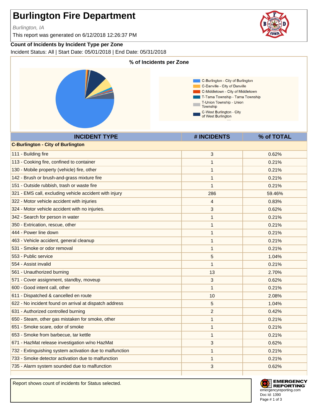Burlington, IA

This report was generated on 6/12/2018 12:26:37 PM

#### **Count of Incidents by Incident Type per Zone**

Incident Status: All | Start Date: 05/01/2018 | End Date: 05/31/2018



Report shows count of incidents for Status selected.



**EMERGENCY REPORTING** emergencyreporting.com Doc Id: 1390 Page # 1 of 3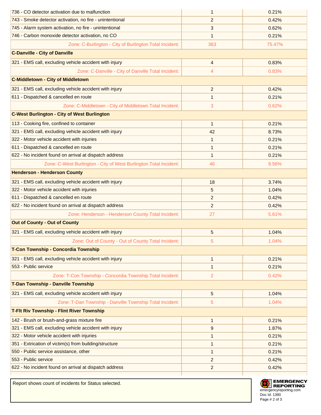| 736 - CO detector activation due to malfunction                   | $\mathbf 1$    | 0.21%  |
|-------------------------------------------------------------------|----------------|--------|
| 743 - Smoke detector activation, no fire - unintentional          | $\overline{c}$ | 0.42%  |
| 745 - Alarm system activation, no fire - unintentional            | 3              | 0.62%  |
| 746 - Carbon monoxide detector activation, no CO                  | 1              | 0.21%  |
| Zone: C-Burlington - City of Burlington Total Incident:           | 363            | 75.47% |
| <b>C-Danville - City of Danville</b>                              |                |        |
| 321 - EMS call, excluding vehicle accident with injury            | $\overline{4}$ | 0.83%  |
| Zone: C-Danville - City of Danville Total Incident:               | 4              | 0.83%  |
| <b>C-Middletown - City of Middletown</b>                          |                |        |
| 321 - EMS call, excluding vehicle accident with injury            | 2              | 0.42%  |
| 611 - Dispatched & cancelled en route                             | 1              | 0.21%  |
| Zone: C-Middletown - City of Middletown Total Incident:           | 3              | 0.62%  |
| <b>C-West Burlington - City of West Burlington</b>                |                |        |
| 113 - Cooking fire, confined to container                         | $\mathbf{1}$   | 0.21%  |
| 321 - EMS call, excluding vehicle accident with injury            | 42             | 8.73%  |
| 322 - Motor vehicle accident with injuries                        | 1              | 0.21%  |
| 611 - Dispatched & cancelled en route                             | 1              | 0.21%  |
| 622 - No incident found on arrival at dispatch address            | 1              | 0.21%  |
| Zone: C-West Burlington - City of West Burlington Total Incident: | 46             | 9.56%  |
| <b>Henderson - Henderson County</b>                               |                |        |
| 321 - EMS call, excluding vehicle accident with injury            | 18             | 3.74%  |
| 322 - Motor vehicle accident with injuries                        | 5              | 1.04%  |
| 611 - Dispatched & cancelled en route                             | 2              | 0.42%  |
| 622 - No incident found on arrival at dispatch address            | $\overline{2}$ | 0.42%  |
| Zone: Henderson - Henderson County Total Incident:                | 27             | 5.61%  |
| <b>Out of County - Out of County</b>                              |                |        |
| 321 - EMS call, excluding vehicle accident with injury            | 5              | 1.04%  |
| Zone: Out of County - Out of County Total Incident:               | 5              | 1.04%  |
| T-Con Township - Concordia Township                               |                |        |
| 321 - EMS call, excluding vehicle accident with injury            | $\mathbf{1}$   | 0.21%  |
| 553 - Public service                                              | 1              | 0.21%  |
| Zone: T-Con Township - Concordia Township Total Incident:         | $\overline{c}$ | 0.42%  |
| T-Dan Township - Danville Township                                |                |        |
| 321 - EMS call, excluding vehicle accident with injury            | 5              | 1.04%  |
| Zone: T-Dan Township - Danville Township Total Incident:          | 5              | 1.04%  |
| <b>T-Fit Riv Township - Flint River Township</b>                  |                |        |
| 142 - Brush or brush-and-grass mixture fire                       | $\mathbf{1}$   | 0.21%  |
| 321 - EMS call, excluding vehicle accident with injury            | 9              | 1.87%  |
| 322 - Motor vehicle accident with injuries                        | 1              | 0.21%  |
| 351 - Extrication of victim(s) from building/structure            | 1              | 0.21%  |
| 550 - Public service assistance, other                            | 1              | 0.21%  |
| 553 - Public service                                              | $\overline{2}$ | 0.42%  |
| 622 - No incident found on arrival at dispatch address            | $\overline{c}$ | 0.42%  |
|                                                                   |                |        |

Report shows count of incidents for Status selected.

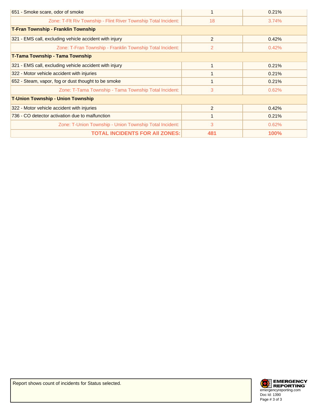| 651 - Smoke scare, odor of smoke                                |     | 0.21% |
|-----------------------------------------------------------------|-----|-------|
| Zone: T-FIt Riv Township - Flint River Township Total Incident: | 18  | 3.74% |
| <b>T-Fran Township - Franklin Township</b>                      |     |       |
| 321 - EMS call, excluding vehicle accident with injury          | 2   | 0.42% |
| Zone: T-Fran Township - Franklin Township Total Incident:       | 2   | 0.42% |
| T-Tama Township - Tama Township                                 |     |       |
| 321 - EMS call, excluding vehicle accident with injury          |     | 0.21% |
| 322 - Motor vehicle accident with injuries                      |     | 0.21% |
| 652 - Steam, vapor, fog or dust thought to be smoke             |     | 0.21% |
| Zone: T-Tama Township - Tama Township Total Incident:           | 3   | 0.62% |
| <b>T-Union Township - Union Township</b>                        |     |       |
| 322 - Motor vehicle accident with injuries                      | 2   | 0.42% |
| 736 - CO detector activation due to malfunction                 |     | 0.21% |
| Zone: T-Union Township - Union Township Total Incident:         | 3   | 0.62% |
| <b>TOTAL INCIDENTS FOR AII ZONES:</b>                           | 481 | 100%  |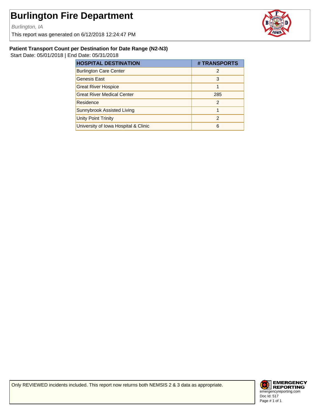Burlington, IA

This report was generated on 6/12/2018 12:24:47 PM



#### **Patient Transport Count per Destination for Date Range (N2-N3)**

Start Date: 05/01/2018 | End Date: 05/31/2018

| <b>HOSPITAL DESTINATION</b>          | # TRANSPORTS  |
|--------------------------------------|---------------|
| <b>Burlington Care Center</b>        | $\mathcal{P}$ |
| <b>Genesis East</b>                  | 3             |
| <b>Great River Hospice</b>           |               |
| <b>Great River Medical Center</b>    | 285           |
| Residence                            | 2             |
| Sunnybrook Assisted Living           |               |
| <b>Unity Point Trinity</b>           | 2             |
| University of Iowa Hospital & Clinic | 6             |

Only REVIEWED incidents included. This report now returns both NEMSIS 2 & 3 data as appropriate.

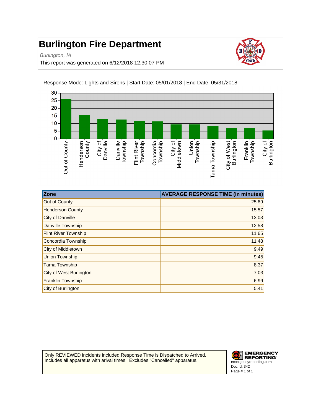Burlington, IA

This report was generated on 6/12/2018 12:30:07 PM





Response Mode: Lights and Sirens | Start Date: 05/01/2018 | End Date: 05/31/2018

| Zone                        | <b>AVERAGE RESPONSE TIME (in minutes)</b> |
|-----------------------------|-------------------------------------------|
| Out of County               | 25.89                                     |
| <b>Henderson County</b>     | 15.57                                     |
| City of Danville            | 13.03                                     |
| Danville Township           | 12.58                                     |
| <b>Flint River Township</b> | 11.65                                     |
| Concordia Township          | 11.48                                     |
| <b>City of Middletown</b>   | 9.49                                      |
| <b>Union Township</b>       | 9.45                                      |
| <b>Tama Township</b>        | 8.37                                      |
| City of West Burlington     | 7.03                                      |
| <b>Franklin Township</b>    | 6.99                                      |
| City of Burlington          | 5.41                                      |

Only REVIEWED incidents included.Response Time is Dispatched to Arrived. Includes all apparatus with arival times. Excludes "Cancelled" apparatus.

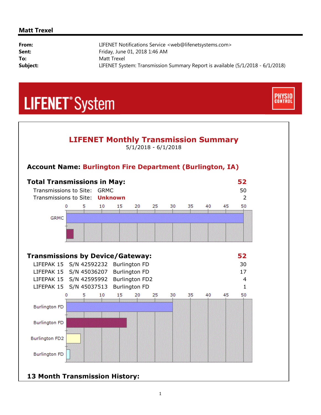#### **Matt Trexel**

i,

| From:    | LIFENET Notifications Service <web@lifenetsystems.com></web@lifenetsystems.com> |
|----------|---------------------------------------------------------------------------------|
| Sent:    | Friday, June 01, 2018 1:46 AM                                                   |
| To:      | Matt Trexel                                                                     |
| Subject: | LIFENET System: Transmission Summary Report is available (5/1/2018 - 6/1/2018)  |
|          |                                                                                 |

**CONTRO** 

## **LIFENET**<sup>\*</sup>System



### **13 Month Transmission History:**